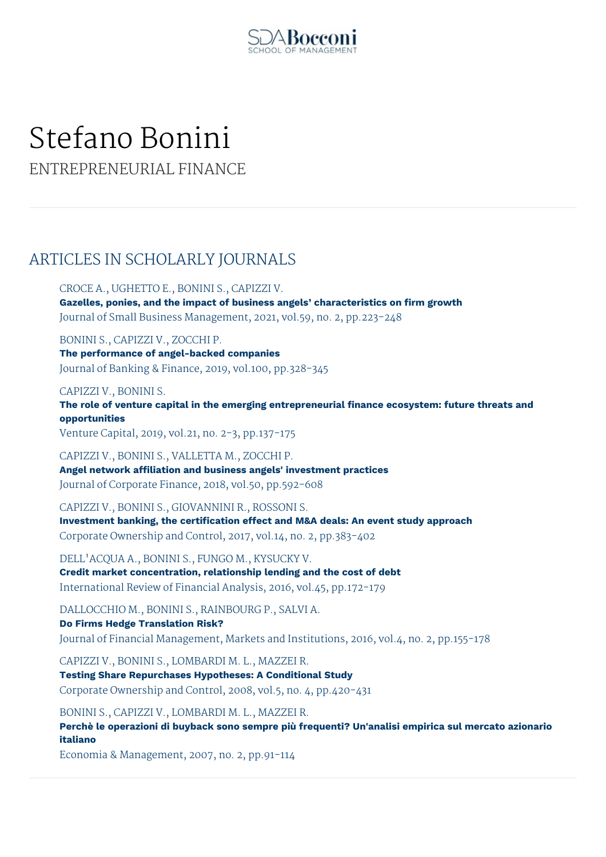

# Stefano Bonini

ENTREPRENEURIAL FINANCE

# ARTICLES IN SCHOLARLY JOURNALS

CROCE A., UGHETTO E., BONINI S., CAPIZZI V. **Gazelles, ponies, and the impact of business angels' characteristics on firm growth** Journal of Small Business Management, 2021, vol.59, no. 2, pp.223-248

BONINI S., CAPIZZI V., ZOCCHI P. **The performance of angel-backed companies** Journal of Banking & Finance, 2019, vol.100, pp.328-345

CAPIZZI V., BONINI S.

**The role of venture capital in the emerging entrepreneurial finance ecosystem: future threats and opportunities**

Venture Capital, 2019, vol.21, no. 2-3, pp.137-175

CAPIZZI V., BONINI S., VALLETTA M., ZOCCHI P. **Angel network affiliation and business angels' investment practices** Journal of Corporate Finance, 2018, vol.50, pp.592-608

CAPIZZI V., BONINI S., GIOVANNINI R., ROSSONI S. **Investment banking, the certification effect and M&A deals: An event study approach** Corporate Ownership and Control, 2017, vol.14, no. 2, pp.383-402

DELL'ACQUA A., BONINI S., FUNGO M., KYSUCKY V. **Credit market concentration, relationship lending and the cost of debt** International Review of Financial Analysis, 2016, vol.45, pp.172-179

DALLOCCHIO M., BONINI S., RAINBOURG P., SALVI A.

**Do Firms Hedge Translation Risk?** Journal of Financial Management, Markets and Institutions, 2016, vol.4, no. 2, pp.155-178

CAPIZZI V., BONINI S., LOMBARDI M. L., MAZZEI R. **Testing Share Repurchases Hypotheses: A Conditional Study** Corporate Ownership and Control, 2008, vol.5, no. 4, pp.420-431

BONINI S., CAPIZZI V., LOMBARDI M. L., MAZZEI R. **Perchè le operazioni di buyback sono sempre più frequenti? Un'analisi empirica sul mercato azionario italiano**

Economia & Management, 2007, no. 2, pp.91-114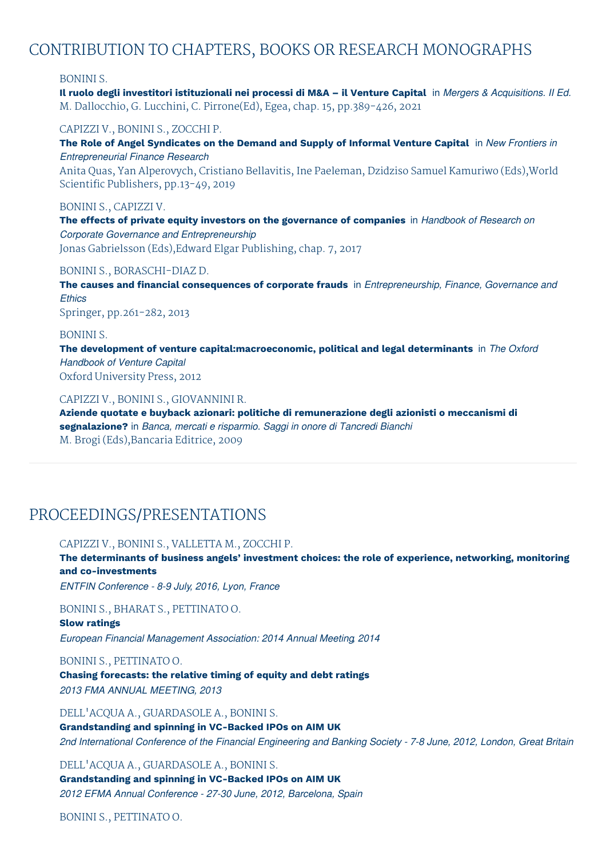# CONTRIBUTION TO CHAPTERS, BOOKS OR RESEARCH MONOGRAPHS

## BONINI S.

Il ruolo degli investitori istituzionali nei processi di M&A - il Venture Capital in Mergers & Acquisitions. Il Ed. M. Dallocchio, G. Lucchini, C. Pirrone(Ed), Egea, chap. 15, pp.389-426, 2021

CAPIZZI V., BONINI S., ZOCCHI P.

**The Role of Angel Syndicates on the Demand and Supply of Informal Venture Capital** in *New Frontiers in Entrepreneurial Finance Research*

Anita Quas, Yan Alperovych, Cristiano Bellavitis, Ine Paeleman, Dzidziso Samuel Kamuriwo (Eds),World Scientific Publishers, pp.13-49, 2019

## BONINI S., CAPIZZI V.

**The effects of private equity investors on the governance of companies** in *Handbook of Research on Corporate Governance and Entrepreneurship* Jonas Gabrielsson (Eds),Edward Elgar Publishing, chap. 7, 2017

#### BONINI S., BORASCHI-DIAZ D.

**The causes and financial consequences of corporate frauds** in *Entrepreneurship, Finance, Governance and Ethics*

Springer, pp.261-282, 2013

### BONINI S.

**The development of venture capital:macroeconomic, political and legal determinants** in *The Oxford Handbook of Venture Capital* Oxford University Press, 2012

# CAPIZZI V., BONINI S., GIOVANNINI R.

**Aziende quotate e buyback azionari: politiche di remunerazione degli azionisti o meccanismi di segnalazione?** in *Banca, mercati e risparmio. Saggi in onore di Tancredi Bianchi* M. Brogi (Eds),Bancaria Editrice, 2009

# PROCEEDINGS/PRESENTATIONS

### CAPIZZI V., BONINI S., VALLETTA M., ZOCCHI P.

**The determinants of business angels' investment choices: the role of experience, networking, monitoring and co-investments**

*ENTFIN Conference - 8-9 July, 2016, Lyon, France*

BONINI S., BHARAT S., PETTINATO O.

## **Slow ratings**

*European Financial Management Association: 2014 Annual Meeting, 2014*

BONINI S., PETTINATO O.

**Chasing forecasts: the relative timing of equity and debt ratings** *2013 FMA ANNUAL MEETING, 2013*

DELL'ACQUA A., GUARDASOLE A., BONINI S. **Grandstanding and spinning in VC-Backed IPOs on AIM UK**

2nd International Conference of the Financial Engineering and Banking Society - 7-8 June, 2012, London, Great Britain

## DELL'ACQUA A., GUARDASOLE A., BONINI S.

**Grandstanding and spinning in VC-Backed IPOs on AIM UK** *2012 EFMA Annual Conference - 27-30 June, 2012, Barcelona, Spain*

BONINI S., PETTINATO O.